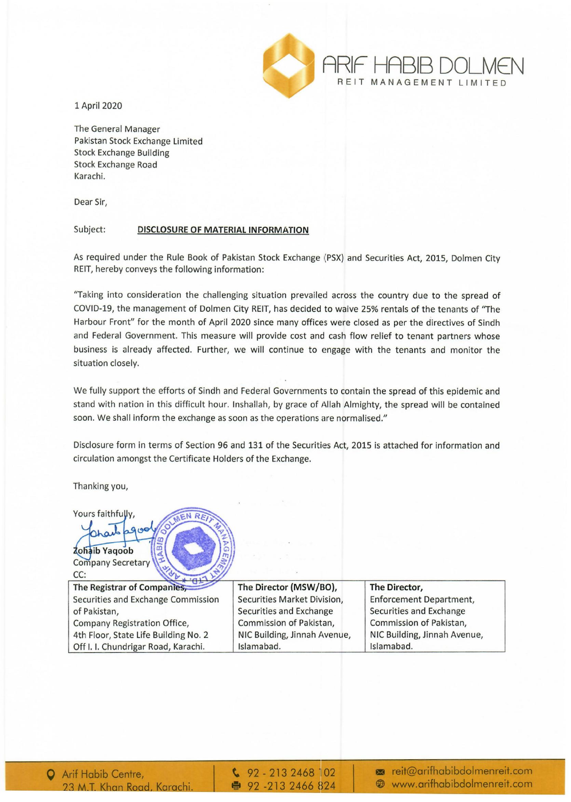

1 April 2020

The General Manager Pakistan Stock Exchange Limited Stock Exchange Building Stock Exchange Road Karachi.

Dear Sir,

## Subject: DISCLOSURE OF MATERIAL INFORMATION

As required under the Rule Book of Pakistan Stock Exchange (PSX) and Securities Act, 2015, Dolmen City REIT, hereby conveys the following information:

"Taking into consideration the challenging situation prevailed across the country due to the spread of COVID-19, the management of Dolmen City REIT, has decided to waive 25% rentals of the tenants of "The Harbour Front" for the month of April 2020 since many offices were closed as per the directives of Sindh and Federal Government. This measure will provide cost and cash flow relief to tenant partners whose business is already affected. Further, we will continue to engage with the tenants and monitor the situation closely.

We fully support the efforts of Sindh and Federal Governments to contain the spread of this epidemic and stand with nation in this difficult hour. Inshallah, by grace of Allah Almighty, the spread will be contained soon. We shall inform the exchange as soon as the operations are normalised."

Disclosure form in terms of Section 96 and 131 of the Securities Act, 2015 is attached for information and circulation amongst the Certificate Holders of the Exchange.

Thanking you,

Yours faithfully,

Zohaib Yaqoob **Company Secretary** CC: The Registrar of Companies,

Securities and Exchange Commission of Pakistan, Company Registration Office, 4th Floor, State Life Building No.2 Off I. I. Chundrigar Road, Karachi.

The Director (MSW/BO), Securities Market Division, Securities and Exchange Commission of Pakistan, NIC Building, Jinnah Avenue, Islamabad.

The Director, Enforcement Department, Securities and Exchange Commission of Pakistan, NIC Building, Jinnah Avenue, Islamabad.

 $\binom{6}{2}$  - 213 2468 102 ● 92-213 2466 824